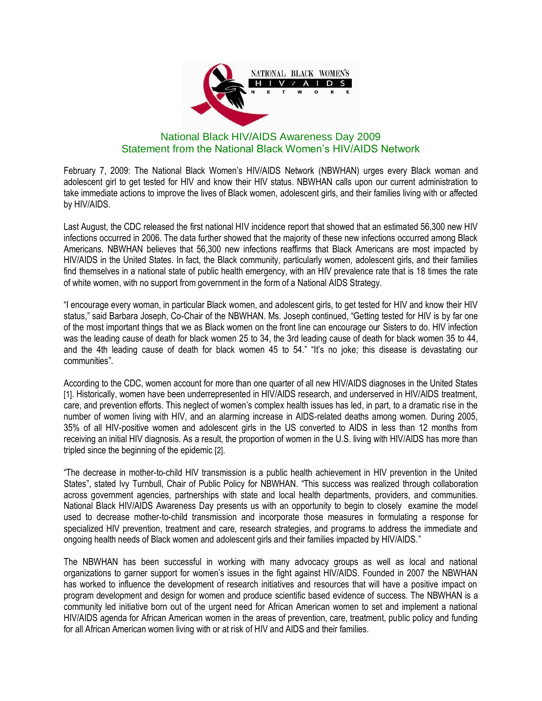

## National Black HIV/AIDS Awareness Day 2009 Statement from the National Black Women's HIV/AIDS Network

February 7, 2009: The National Black Women's HIV/AIDS Network (NBWHAN) urges every Black woman and adolescent girl to get tested for HIV and know their HIV status. NBWHAN calls upon our current administration to take immediate actions to improve the lives of Black women, adolescent girls, and their families living with or affected by HIV/AIDS.

Last August, the CDC released the first national HIV incidence report that showed that an estimated 56,300 new HIV infections occurred in 2006. The data further showed that the majority of these new infections occurred among Black Americans. NBWHAN believes that 56,300 new infections reaffirms that Black Americans are most impacted by HIV/AIDS in the United States. In fact, the Black community, particularly women, adolescent girls, and their families find themselves in a national state of public health emergency, with an HIV prevalence rate that is 18 times the rate of white women, with no support from government in the form of a National AIDS Strategy.

"I encourage every woman, in particular Black women, and adolescent girls, to get tested for HIV and know their HIV status," said Barbara Joseph, Co-Chair of the NBWHAN. Ms. Joseph continued, "Getting tested for HIV is by far one of the most important things that we as Black women on the front line can encourage our Sisters to do. HIV infection was the leading cause of death for black women 25 to 34, the 3rd leading cause of death for black women 35 to 44, and the 4th leading cause of death for black women 45 to 54." "It's no joke; this disease is devastating our communities".

According to the CDC, women account for more than one quarter of all new HIV/AIDS diagnoses in the United States [1]. Historically, women have been underrepresented in HIV/AIDS research, and underserved in HIV/AIDS treatment, care, and prevention efforts. This neglect of women's complex health issues has led, in part, to a dramatic rise in the number of women living with HIV, and an alarming increase in AIDS-related deaths among women. During 2005, 35% of all HIV-positive women and adolescent girls in the US converted to AIDS in less than 12 months from receiving an initial HIV diagnosis. As a result, the proportion of women in the U.S. living with HIV/AIDS has more than tripled since the beginning of the epidemic [2].

"The decrease in mother-to-child HIV transmission is a public health achievement in HIV prevention in the United States", stated Ivy Turnbull, Chair of Public Policy for NBWHAN. "This success was realized through collaboration across government agencies, partnerships with state and local health departments, providers, and communities. National Black HIV/AIDS Awareness Day presents us with an opportunity to begin to closely examine the model used to decrease mother-to-child transmission and incorporate those measures in formulating a response for specialized HIV prevention, treatment and care, research strategies, and programs to address the immediate and ongoing health needs of Black women and adolescent girls and their families impacted by HIV/AIDS."

The NBWHAN has been successful in working with many advocacy groups as well as local and national organizations to garner support for women's issues in the fight against HIV/AIDS. Founded in 2007 the NBWHAN has worked to influence the development of research initiatives and resources that will have a positive impact on program development and design for women and produce scientific based evidence of success. The NBWHAN is a community led initiative born out of the urgent need for African American women to set and implement a national HIV/AIDS agenda for African American women in the areas of prevention, care, treatment, public policy and funding for all African American women living with or at risk of HIV and AIDS and their families.